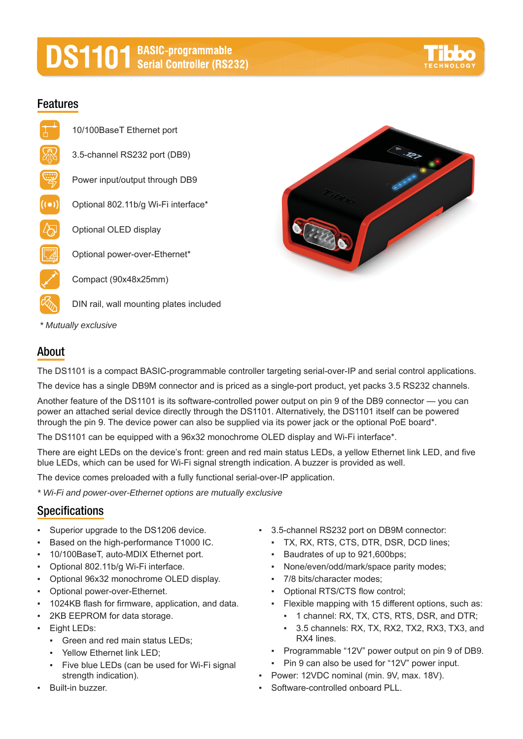# **DS1101** BASIC-programmable<br>
Serial Controller (RS232)

#### **Features**

- 10/100BaseT Ethernet port 3.5-channel RS232 port (DB9)
	- Power input/output through DB9
- $((\bullet))$ Optional 802.11b/g Wi-Fi interface\*
	- Optional OLED display
	- Optional power-over-Ethernet\*

Compact (90x48x25mm)

- DIN rail, wall mounting plates included
- *\* Mutually exclusive*

#### **About**

The DS1101 is a compact BASIC-programmable controller targeting serial-over-IP and serial control applications.

The device has a single DB9M connector and is priced as a single-port product, yet packs 3.5 RS232 channels.

Another feature of the DS1101 is its software-controlled power output on pin 9 of the DB9 connector — you can power an attached serial device directly through the DS1101. Alternatively, the DS1101 itself can be powered through the pin 9. The device power can also be supplied via its power jack or the optional PoE board\*.

The DS1101 can be equipped with a 96x32 monochrome OLED display and Wi-Fi interface\*.

There are eight LEDs on the device's front: green and red main status LEDs, a yellow Ethernet link LED, and five blue LEDs, which can be used for Wi-Fi signal strength indication. A buzzer is provided as well.

The device comes preloaded with a fully functional serial-over-IP application.

*\* Wi-Fi and power-over-Ethernet options are mutually exclusive*

### **Specifications**

- Superior upgrade to the DS1206 device.
- Based on the high-performance T1000 IC.
- 10/100BaseT, auto-MDIX Ethernet port.
- Optional 802.11b/g Wi-Fi interface.
- Optional 96x32 monochrome OLED display.
- Optional power-over-Ethernet.
- 1024KB flash for firmware, application, and data.
- 2KB EEPROM for data storage.
- Eight LEDs:
	- Green and red main status LEDs;
	- Yellow Ethernet link LED;
	- Five blue LEDs (can be used for Wi-Fi signal strength indication).
- **Built-in buzzer.**
- 3.5-channel RS232 port on DB9M connector:
	- TX, RX, RTS, CTS, DTR, DSR, DCD lines;
	- Baudrates of up to 921,600bps;
	- None/even/odd/mark/space parity modes;
	- 7/8 bits/character modes;
	- Optional RTS/CTS flow control:
	- Flexible mapping with 15 different options, such as:
		- 1 channel: RX, TX, CTS, RTS, DSR, and DTR;
		- 3.5 channels: RX, TX, RX2, TX2, RX3, TX3, and RX4 lines.
	- Programmable "12V" power output on pin 9 of DB9.
	- Pin 9 can also be used for "12V" power input.
- Power: 12VDC nominal (min. 9V, max. 18V).
- Software-controlled onboard PLL.